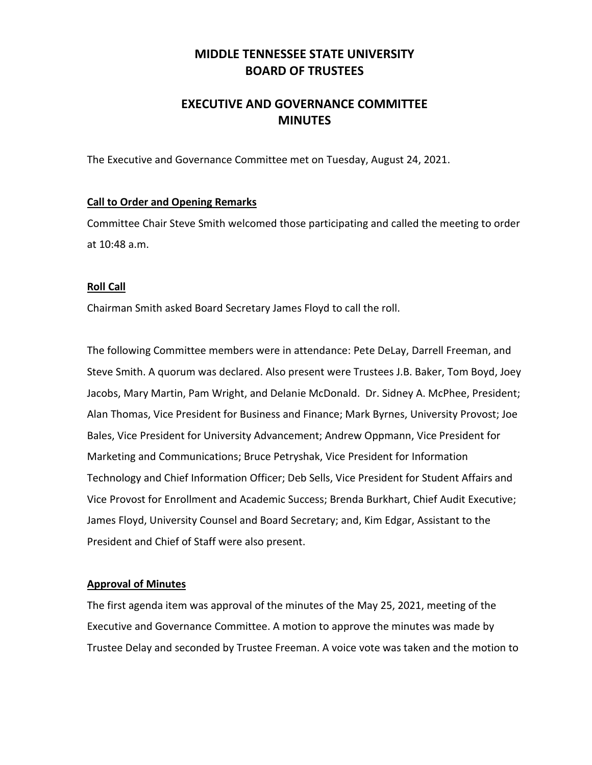## **MIDDLE TENNESSEE STATE UNIVERSITY BOARD OF TRUSTEES**

## **EXECUTIVE AND GOVERNANCE COMMITTEE MINUTES**

The Executive and Governance Committee met on Tuesday, August 24, 2021.

#### **Call to Order and Opening Remarks**

Committee Chair Steve Smith welcomed those participating and called the meeting to order at 10:48 a.m.

#### **Roll Call**

Chairman Smith asked Board Secretary James Floyd to call the roll.

The following Committee members were in attendance: Pete DeLay, Darrell Freeman, and Steve Smith. A quorum was declared. Also present were Trustees J.B. Baker, Tom Boyd, Joey Jacobs, Mary Martin, Pam Wright, and Delanie McDonald. Dr. Sidney A. McPhee, President; Alan Thomas, Vice President for Business and Finance; Mark Byrnes, University Provost; Joe Bales, Vice President for University Advancement; Andrew Oppmann, Vice President for Marketing and Communications; Bruce Petryshak, Vice President for Information Technology and Chief Information Officer; Deb Sells, Vice President for Student Affairs and Vice Provost for Enrollment and Academic Success; Brenda Burkhart, Chief Audit Executive; James Floyd, University Counsel and Board Secretary; and, Kim Edgar, Assistant to the President and Chief of Staff were also present.

#### **Approval of Minutes**

The first agenda item was approval of the minutes of the May 25, 2021, meeting of the Executive and Governance Committee. A motion to approve the minutes was made by Trustee Delay and seconded by Trustee Freeman. A voice vote was taken and the motion to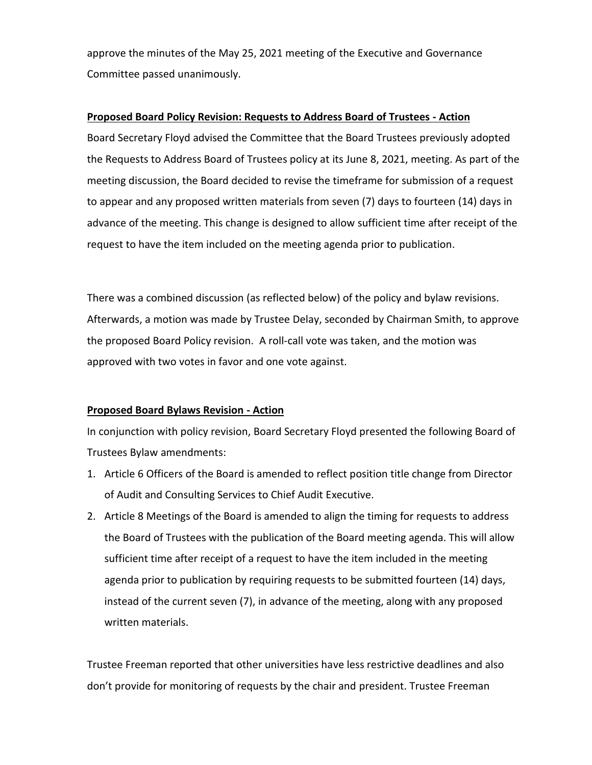approve the minutes of the May 25, 2021 meeting of the Executive and Governance Committee passed unanimously.

#### **Proposed Board Policy Revision: Requests to Address Board of Trustees - Action**

Board Secretary Floyd advised the Committee that the Board Trustees previously adopted the Requests to Address Board of Trustees policy at its June 8, 2021, meeting. As part of the meeting discussion, the Board decided to revise the timeframe for submission of a request to appear and any proposed written materials from seven (7) days to fourteen (14) days in advance of the meeting. This change is designed to allow sufficient time after receipt of the request to have the item included on the meeting agenda prior to publication.

There was a combined discussion (as reflected below) of the policy and bylaw revisions. Afterwards, a motion was made by Trustee Delay, seconded by Chairman Smith, to approve the proposed Board Policy revision. A roll-call vote was taken, and the motion was approved with two votes in favor and one vote against.

### **Proposed Board Bylaws Revision - Action**

In conjunction with policy revision, Board Secretary Floyd presented the following Board of Trustees Bylaw amendments:

- 1. Article 6 Officers of the Board is amended to reflect position title change from Director of Audit and Consulting Services to Chief Audit Executive.
- 2. Article 8 Meetings of the Board is amended to align the timing for requests to address the Board of Trustees with the publication of the Board meeting agenda. This will allow sufficient time after receipt of a request to have the item included in the meeting agenda prior to publication by requiring requests to be submitted fourteen (14) days, instead of the current seven (7), in advance of the meeting, along with any proposed written materials.

Trustee Freeman reported that other universities have less restrictive deadlines and also don't provide for monitoring of requests by the chair and president. Trustee Freeman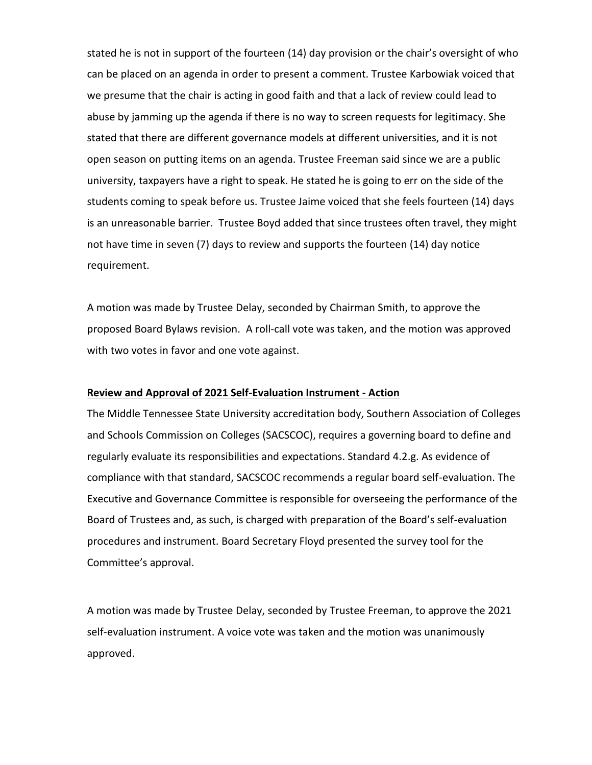stated he is not in support of the fourteen (14) day provision or the chair's oversight of who can be placed on an agenda in order to present a comment. Trustee Karbowiak voiced that we presume that the chair is acting in good faith and that a lack of review could lead to abuse by jamming up the agenda if there is no way to screen requests for legitimacy. She stated that there are different governance models at different universities, and it is not open season on putting items on an agenda. Trustee Freeman said since we are a public university, taxpayers have a right to speak. He stated he is going to err on the side of the students coming to speak before us. Trustee Jaime voiced that she feels fourteen (14) days is an unreasonable barrier. Trustee Boyd added that since trustees often travel, they might not have time in seven (7) days to review and supports the fourteen (14) day notice requirement.

A motion was made by Trustee Delay, seconded by Chairman Smith, to approve the proposed Board Bylaws revision. A roll-call vote was taken, and the motion was approved with two votes in favor and one vote against.

#### **Review and Approval of 2021 Self-Evaluation Instrument - Action**

The Middle Tennessee State University accreditation body, Southern Association of Colleges and Schools Commission on Colleges (SACSCOC), requires a governing board to define and regularly evaluate its responsibilities and expectations. Standard 4.2.g. As evidence of compliance with that standard, SACSCOC recommends a regular board self-evaluation. The Executive and Governance Committee is responsible for overseeing the performance of the Board of Trustees and, as such, is charged with preparation of the Board's self-evaluation procedures and instrument. Board Secretary Floyd presented the survey tool for the Committee's approval.

A motion was made by Trustee Delay, seconded by Trustee Freeman, to approve the 2021 self-evaluation instrument. A voice vote was taken and the motion was unanimously approved.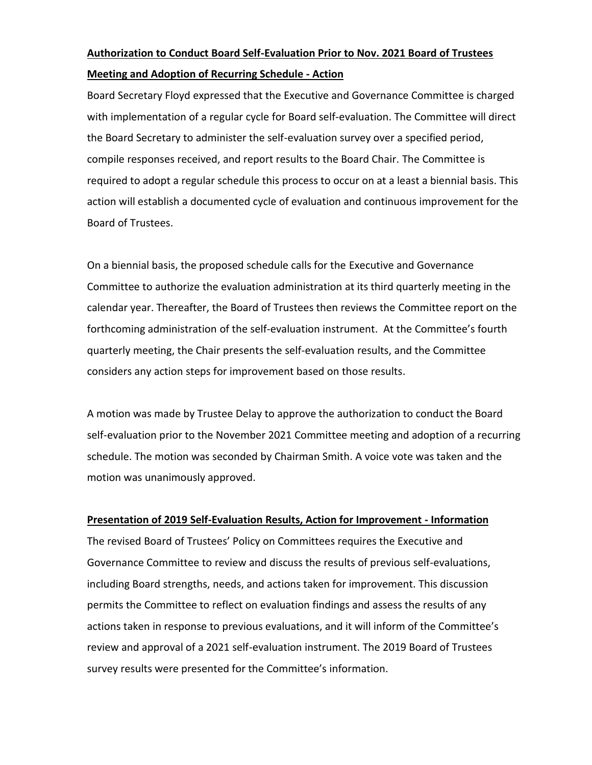# **Authorization to Conduct Board Self-Evaluation Prior to Nov. 2021 Board of Trustees Meeting and Adoption of Recurring Schedule - Action**

Board Secretary Floyd expressed that the Executive and Governance Committee is charged with implementation of a regular cycle for Board self-evaluation. The Committee will direct the Board Secretary to administer the self-evaluation survey over a specified period, compile responses received, and report results to the Board Chair. The Committee is required to adopt a regular schedule this process to occur on at a least a biennial basis. This action will establish a documented cycle of evaluation and continuous improvement for the Board of Trustees.

On a biennial basis, the proposed schedule calls for the Executive and Governance Committee to authorize the evaluation administration at its third quarterly meeting in the calendar year. Thereafter, the Board of Trustees then reviews the Committee report on the forthcoming administration of the self-evaluation instrument. At the Committee's fourth quarterly meeting, the Chair presents the self-evaluation results, and the Committee considers any action steps for improvement based on those results.

A motion was made by Trustee Delay to approve the authorization to conduct the Board self-evaluation prior to the November 2021 Committee meeting and adoption of a recurring schedule. The motion was seconded by Chairman Smith. A voice vote was taken and the motion was unanimously approved.

#### **Presentation of 2019 Self-Evaluation Results, Action for Improvement - Information**

The revised Board of Trustees' Policy on Committees requires the Executive and Governance Committee to review and discuss the results of previous self-evaluations, including Board strengths, needs, and actions taken for improvement. This discussion permits the Committee to reflect on evaluation findings and assess the results of any actions taken in response to previous evaluations, and it will inform of the Committee's review and approval of a 2021 self-evaluation instrument. The 2019 Board of Trustees survey results were presented for the Committee's information.